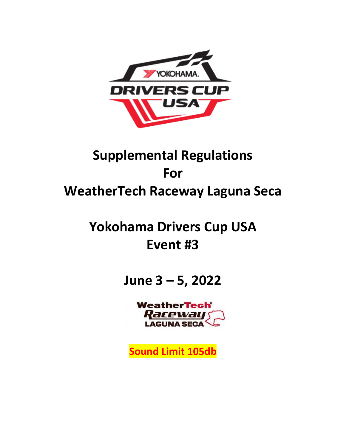

# **Supplemental Regulations For WeatherTech Raceway Laguna Seca**

# **Yokohama Drivers Cup USA Event #3**

**June 3 – 5, 2022**

**WeatherTech® Raceway** 

**Sound Limit 105db**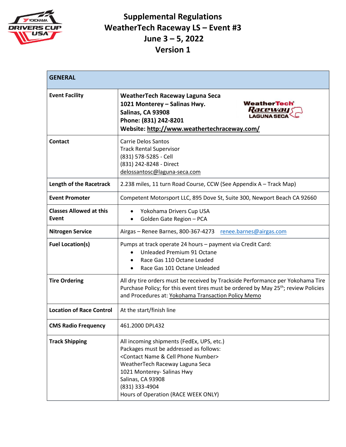

| <b>GENERAL</b>                          |                                                                                                                                                                                                                                                                                                        |  |
|-----------------------------------------|--------------------------------------------------------------------------------------------------------------------------------------------------------------------------------------------------------------------------------------------------------------------------------------------------------|--|
| <b>Event Facility</b>                   | <b>WeatherTech Raceway Laguna Seca</b><br><b>WeatherTech</b> <sup>®</sup><br>1021 Monterey – Salinas Hwy.<br><u>Raceway y</u><br>Salinas, CA 93908<br><b>LAGUNA SECA</b><br>Phone: (831) 242-8201<br>Website: http://www.weathertechraceway.com/                                                       |  |
| Contact                                 | <b>Carrie Delos Santos</b><br><b>Track Rental Supervisor</b><br>(831) 578-5285 - Cell<br>(831) 242-8248 - Direct<br>delossantosc@laguna-seca.com                                                                                                                                                       |  |
| Length of the Racetrack                 | 2.238 miles, 11 turn Road Course, CCW (See Appendix A - Track Map)                                                                                                                                                                                                                                     |  |
| <b>Event Promoter</b>                   | Competent Motorsport LLC, 895 Dove St, Suite 300, Newport Beach CA 92660                                                                                                                                                                                                                               |  |
| <b>Classes Allowed at this</b><br>Event | Yokohama Drivers Cup USA<br>$\bullet$<br>Golden Gate Region - PCA                                                                                                                                                                                                                                      |  |
| <b>Nitrogen Service</b>                 | Airgas - Renee Barnes, 800-367-4273 renee.barnes@airgas.com                                                                                                                                                                                                                                            |  |
| <b>Fuel Location(s)</b>                 | Pumps at track operate 24 hours - payment via Credit Card:<br>Unleaded Premium 91 Octane<br>$\bullet$<br>Race Gas 110 Octane Leaded<br>Race Gas 101 Octane Unleaded                                                                                                                                    |  |
| <b>Tire Ordering</b>                    | All dry tire orders must be received by Trackside Performance per Yokohama Tire<br>Purchase Policy; for this event tires must be ordered by May 25 <sup>th</sup> ; review Policies<br>and Procedures at: Yokohama Transaction Policy Memo                                                              |  |
| <b>Location of Race Control</b>         | At the start/finish line                                                                                                                                                                                                                                                                               |  |
| <b>CMS Radio Frequency</b>              | 461.2000 DPL432                                                                                                                                                                                                                                                                                        |  |
| <b>Track Shipping</b>                   | All incoming shipments (FedEx, UPS, etc.)<br>Packages must be addressed as follows:<br><contact &="" cell="" name="" number="" phone=""><br/>WeatherTech Raceway Laguna Seca<br/>1021 Monterey- Salinas Hwy<br/>Salinas, CA 93908<br/>(831) 333-4904<br/>Hours of Operation (RACE WEEK ONLY)</contact> |  |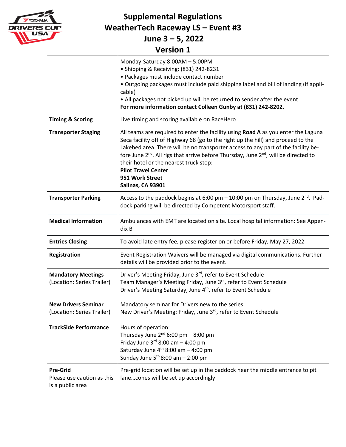

**Supplemental Regulations WeatherTech Raceway LS – Event #3**

**June 3 – 5, 2022**

|                                                                   | Monday-Saturday 8:00AM - 5:00PM<br>• Shipping & Receiving: (831) 242-8231<br>· Packages must include contact number<br>. Outgoing packages must include paid shipping label and bill of landing (if appli-<br>cable)<br>• All packages not picked up will be returned to sender after the event<br>For more information contact Colleen Gunby at (831) 242-8202.                                                                                                                           |
|-------------------------------------------------------------------|--------------------------------------------------------------------------------------------------------------------------------------------------------------------------------------------------------------------------------------------------------------------------------------------------------------------------------------------------------------------------------------------------------------------------------------------------------------------------------------------|
| <b>Timing &amp; Scoring</b>                                       | Live timing and scoring available on RaceHero                                                                                                                                                                                                                                                                                                                                                                                                                                              |
| <b>Transporter Staging</b>                                        | All teams are required to enter the facility using Road A as you enter the Laguna<br>Seca facility off of Highway 68 (go to the right up the hill) and proceed to the<br>Lakebed area. There will be no transporter access to any part of the facility be-<br>fore June 2 <sup>nd</sup> . All rigs that arrive before Thursday, June 2 <sup>nd</sup> , will be directed to<br>their hotel or the nearest truck stop:<br><b>Pilot Travel Center</b><br>951 Work Street<br>Salinas, CA 93901 |
| <b>Transporter Parking</b>                                        | Access to the paddock begins at 6:00 pm $-$ 10:00 pm on Thursday, June 2 <sup>nd</sup> . Pad-<br>dock parking will be directed by Competent Motorsport staff.                                                                                                                                                                                                                                                                                                                              |
| <b>Medical Information</b>                                        | Ambulances with EMT are located on site. Local hospital information: See Appen-<br>dix B                                                                                                                                                                                                                                                                                                                                                                                                   |
| <b>Entries Closing</b>                                            | To avoid late entry fee, please register on or before Friday, May 27, 2022                                                                                                                                                                                                                                                                                                                                                                                                                 |
| Registration                                                      | Event Registration Waivers will be managed via digital communications. Further<br>details will be provided prior to the event.                                                                                                                                                                                                                                                                                                                                                             |
| <b>Mandatory Meetings</b><br>(Location: Series Trailer)           | Driver's Meeting Friday, June 3rd, refer to Event Schedule<br>Team Manager's Meeting Friday, June 3rd, refer to Event Schedule<br>Driver's Meeting Saturday, June 4 <sup>th</sup> , refer to Event Schedule                                                                                                                                                                                                                                                                                |
| <b>New Drivers Seminar</b><br>(Location: Series Trailer)          | Mandatory seminar for Drivers new to the series.<br>New Driver's Meeting: Friday, June 3rd, refer to Event Schedule                                                                                                                                                                                                                                                                                                                                                                        |
| <b>TrackSide Performance</b>                                      | Hours of operation:<br>Thursday June $2^{nd}$ 6:00 pm - 8:00 pm<br>Friday June $3^{rd}$ 8:00 am $-$ 4:00 pm<br>Saturday June $4^{th}$ 8:00 am - 4:00 pm<br>Sunday June $5^{th}$ 8:00 am - 2:00 pm                                                                                                                                                                                                                                                                                          |
| <b>Pre-Grid</b><br>Please use caution as this<br>is a public area | Pre-grid location will be set up in the paddock near the middle entrance to pit<br>lanecones will be set up accordingly                                                                                                                                                                                                                                                                                                                                                                    |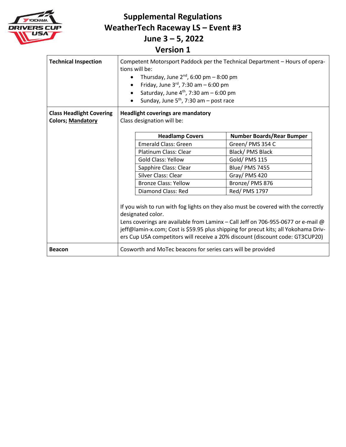

**Supplemental Regulations WeatherTech Raceway LS – Event #3**

**June 3 – 5, 2022**

| <b>Technical Inspection</b>                                 | Competent Motorsport Paddock per the Technical Department - Hours of opera-<br>tions will be:<br>Thursday, June $2^{nd}$ , 6:00 pm $-$ 8:00 pm<br>$\bullet$<br>Friday, June $3^{rd}$ , 7:30 am - 6:00 pm<br>Saturday, June $4th$ , 7:30 am $-6:00$ pm<br>Sunday, June $5th$ , 7:30 am – post race |                                                                                                                                                                         |
|-------------------------------------------------------------|---------------------------------------------------------------------------------------------------------------------------------------------------------------------------------------------------------------------------------------------------------------------------------------------------|-------------------------------------------------------------------------------------------------------------------------------------------------------------------------|
| <b>Class Headlight Covering</b><br><b>Colors; Mandatory</b> | <b>Headlight coverings are mandatory</b><br>Class designation will be:                                                                                                                                                                                                                            |                                                                                                                                                                         |
|                                                             |                                                                                                                                                                                                                                                                                                   |                                                                                                                                                                         |
|                                                             | <b>Headlamp Covers</b>                                                                                                                                                                                                                                                                            | <b>Number Boards/Rear Bumper</b>                                                                                                                                        |
|                                                             | <b>Emerald Class: Green</b>                                                                                                                                                                                                                                                                       | Green/PMS 354 C                                                                                                                                                         |
|                                                             | Platinum Class: Clear                                                                                                                                                                                                                                                                             | Black/ PMS Black                                                                                                                                                        |
|                                                             | <b>Gold Class: Yellow</b>                                                                                                                                                                                                                                                                         | Gold/ PMS 115                                                                                                                                                           |
|                                                             | Sapphire Class: Clear                                                                                                                                                                                                                                                                             | <b>Blue/ PMS 7455</b>                                                                                                                                                   |
|                                                             | Silver Class: Clear                                                                                                                                                                                                                                                                               | Gray/PMS 420                                                                                                                                                            |
|                                                             | <b>Bronze Class: Yellow</b>                                                                                                                                                                                                                                                                       | Bronze/ PMS 876                                                                                                                                                         |
|                                                             | Diamond Class: Red                                                                                                                                                                                                                                                                                | Red/ PMS 1797                                                                                                                                                           |
|                                                             | If you wish to run with fog lights on they also must be covered with the correctly<br>designated color.<br>ers Cup USA competitors will receive a 20% discount (discount code: GT3CUP20)                                                                                                          | Lens coverings are available from Laminx - Call Jeff on 706-955-0677 or e-mail @<br>jeff@lamin-x.com; Cost is \$59.95 plus shipping for precut kits; all Yokohama Driv- |
| <b>Beacon</b>                                               | Cosworth and MoTec beacons for series cars will be provided                                                                                                                                                                                                                                       |                                                                                                                                                                         |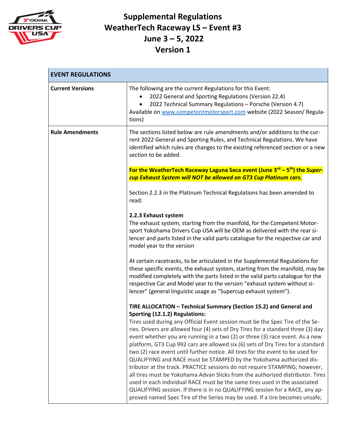

| <b>EVENT REGULATIONS</b> |                                                                                                                                                                                                                                                                                                                                                                                                                                                                                                                                                                                                                                                                                                                                                                                                                                                                                                                                                                                                                      |
|--------------------------|----------------------------------------------------------------------------------------------------------------------------------------------------------------------------------------------------------------------------------------------------------------------------------------------------------------------------------------------------------------------------------------------------------------------------------------------------------------------------------------------------------------------------------------------------------------------------------------------------------------------------------------------------------------------------------------------------------------------------------------------------------------------------------------------------------------------------------------------------------------------------------------------------------------------------------------------------------------------------------------------------------------------|
| <b>Current Versions</b>  | The following are the current Regulations for this Event:<br>2022 General and Sporting Regulations (Version 22.4)<br>2022 Technical Summary Regulations - Porsche (Version 4.7)<br>Available on www.competentmotorsport.com website (2022 Season/ Regula-<br>tions)                                                                                                                                                                                                                                                                                                                                                                                                                                                                                                                                                                                                                                                                                                                                                  |
| <b>Rule Amendments</b>   | The sections listed below are rule amendments and/or additions to the cur-<br>rent 2022 General and Sporting Rules, and Technical Regulations. We have<br>identified which rules are changes to the existing referenced section or a new<br>section to be added.<br>For the WeatherTech Raceway Laguna Seca event (June 3 <sup>rd</sup> – 5 <sup>th</sup> ) the Super-                                                                                                                                                                                                                                                                                                                                                                                                                                                                                                                                                                                                                                               |
|                          | cup Exhaust System will NOT be allowed on GT3 Cup Platinum cars.                                                                                                                                                                                                                                                                                                                                                                                                                                                                                                                                                                                                                                                                                                                                                                                                                                                                                                                                                     |
|                          | Section 2.2.3 in the Platinum Technical Regulations has been amended to<br>read:                                                                                                                                                                                                                                                                                                                                                                                                                                                                                                                                                                                                                                                                                                                                                                                                                                                                                                                                     |
|                          | 2.2.3 Exhaust system<br>The exhaust system, starting from the manifold, for the Competent Motor-<br>sport Yokohama Drivers Cup USA will be OEM as delivered with the rear si-<br>lencer and parts listed in the valid parts catalogue for the respective car and<br>model year to the version                                                                                                                                                                                                                                                                                                                                                                                                                                                                                                                                                                                                                                                                                                                        |
|                          | At certain racetracks, to be articulated in the Supplemental Regulations for<br>these specific events, the exhaust system, starting from the manifold, may be<br>modified completely with the parts listed in the valid parts catalogue for the<br>respective Car and Model year to the version "exhaust system without si-<br>lencer" (general linguistic usage as "Supercup exhaust system").                                                                                                                                                                                                                                                                                                                                                                                                                                                                                                                                                                                                                      |
|                          | TIRE ALLOCATION - Technical Summary (Section 15.2) and General and<br>Sporting (12.1.2) Regulations:<br>Tires used during any Official Event session must be the Spec Tire of the Se-<br>ries. Drivers are allowed four (4) sets of Dry Tires for a standard three (3) day<br>event whether you are running in a two (2) or three (3) race event. As a new<br>platform, GT3 Cup 992 cars are allowed six (6) sets of Dry Tires for a standard<br>two (2) race event until further notice. All tires for the event to be used for<br>QUALIFYING and RACE must be STAMPED by the Yokohama authorized dis-<br>tributor at the track. PRACTICE sessions do not require STAMPING; however,<br>all tires must be Yokohama Advan Slicks from the authorized distributor. Tires<br>used in each individual RACE must be the same tires used in the associated<br>QUALIFYING session. If there is in no QUALIFYING session for a RACE, any ap-<br>proved named Spec Tire of the Series may be used. If a tire becomes unsafe; |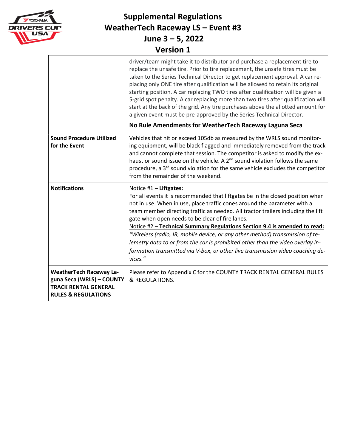

|                                                                                                                              | driver/team might take it to distributor and purchase a replacement tire to<br>replace the unsafe tire. Prior to tire replacement, the unsafe tires must be<br>taken to the Series Technical Director to get replacement approval. A car re-<br>placing only ONE tire after qualification will be allowed to retain its original<br>starting position. A car replacing TWO tires after qualification will be given a<br>5-grid spot penalty. A car replacing more than two tires after qualification will<br>start at the back of the grid. Any tire purchases above the allotted amount for<br>a given event must be pre-approved by the Series Technical Director.<br>No Rule Amendments for WeatherTech Raceway Laguna Seca |
|------------------------------------------------------------------------------------------------------------------------------|--------------------------------------------------------------------------------------------------------------------------------------------------------------------------------------------------------------------------------------------------------------------------------------------------------------------------------------------------------------------------------------------------------------------------------------------------------------------------------------------------------------------------------------------------------------------------------------------------------------------------------------------------------------------------------------------------------------------------------|
| <b>Sound Procedure Utilized</b><br>for the Event                                                                             | Vehicles that hit or exceed 105db as measured by the WRLS sound monitor-<br>ing equipment, will be black flagged and immediately removed from the track<br>and cannot complete that session. The competitor is asked to modify the ex-<br>haust or sound issue on the vehicle. A 2 <sup>nd</sup> sound violation follows the same<br>procedure, a 3 <sup>rd</sup> sound violation for the same vehicle excludes the competitor<br>from the remainder of the weekend.                                                                                                                                                                                                                                                           |
| <b>Notifications</b>                                                                                                         | Notice #1 - Liftgates:<br>For all events it is recommended that liftgates be in the closed position when<br>not in use. When in use, place traffic cones around the parameter with a<br>team member directing traffic as needed. All tractor trailers including the lift<br>gate when open needs to be clear of fire lanes.<br>Notice #2 - Technical Summary Regulations Section 9.4 is amended to read:<br>"Wireless (radio, IR, mobile device, or any other method) transmission of te-<br>lemetry data to or from the car is prohibited other than the video overlay in-<br>formation transmitted via V-box, or other live transmission video coaching de-<br>vices."                                                       |
| <b>WeatherTech Raceway La-</b><br>guna Seca (WRLS) - COUNTY<br><b>TRACK RENTAL GENERAL</b><br><b>RULES &amp; REGULATIONS</b> | Please refer to Appendix C for the COUNTY TRACK RENTAL GENERAL RULES<br>& REGULATIONS.                                                                                                                                                                                                                                                                                                                                                                                                                                                                                                                                                                                                                                         |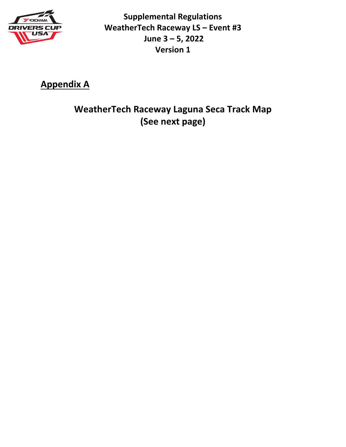

**Appendix A**

**WeatherTech Raceway Laguna Seca Track Map (See next page)**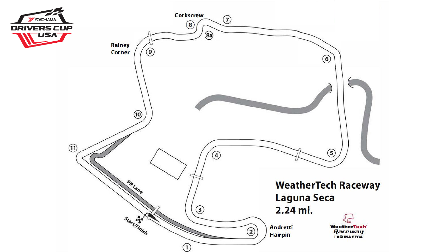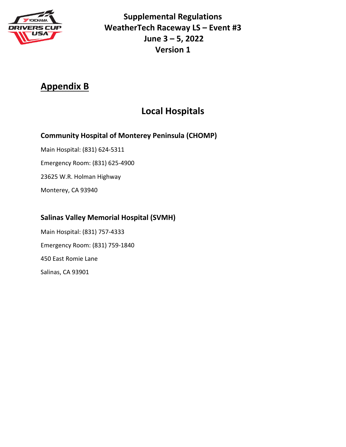

## **Appendix B**

## **Local Hospitals**

#### **Community Hospital of Monterey Peninsula (CHOMP)**

Main Hospital: (831) 624-5311 Emergency Room: (831) 625-4900 23625 W.R. Holman Highway Monterey, CA 93940

### **Salinas Valley Memorial Hospital (SVMH)**

Main Hospital: (831) 757-4333 Emergency Room: (831) 759-1840 450 East Romie Lane Salinas, CA 93901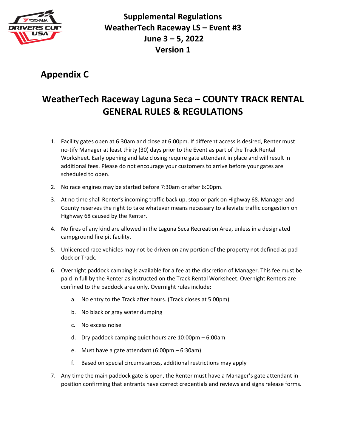

## **Appendix C**

# **WeatherTech Raceway Laguna Seca – COUNTY TRACK RENTAL GENERAL RULES & REGULATIONS**

- 1. Facility gates open at 6:30am and close at 6:00pm. If different access is desired, Renter must no-tify Manager at least thirty (30) days prior to the Event as part of the Track Rental Worksheet. Early opening and late closing require gate attendant in place and will result in additional fees. Please do not encourage your customers to arrive before your gates are scheduled to open.
- 2. No race engines may be started before 7:30am or after 6:00pm.
- 3. At no time shall Renter's incoming traffic back up, stop or park on Highway 68. Manager and County reserves the right to take whatever means necessary to alleviate traffic congestion on Highway 68 caused by the Renter.
- 4. No fires of any kind are allowed in the Laguna Seca Recreation Area, unless in a designated campground fire pit facility.
- 5. Unlicensed race vehicles may not be driven on any portion of the property not defined as paddock or Track.
- 6. Overnight paddock camping is available for a fee at the discretion of Manager. This fee must be paid in full by the Renter as instructed on the Track Rental Worksheet. Overnight Renters are confined to the paddock area only. Overnight rules include:
	- a. No entry to the Track after hours. (Track closes at 5:00pm)
	- b. No black or gray water dumping
	- c. No excess noise
	- d. Dry paddock camping quiet hours are 10:00pm 6:00am
	- e. Must have a gate attendant (6:00pm 6:30am)
	- f. Based on special circumstances, additional restrictions may apply
- 7. Any time the main paddock gate is open, the Renter must have a Manager's gate attendant in position confirming that entrants have correct credentials and reviews and signs release forms.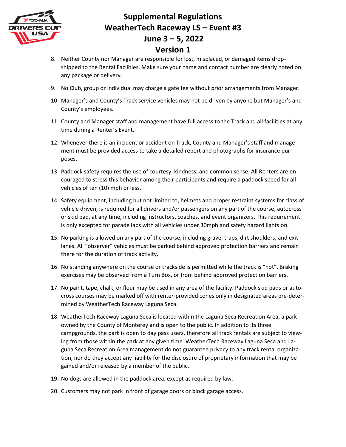

- 8. Neither County nor Manager are responsible for lost, misplaced, or damaged items dropshipped to the Rental Facilities. Make sure your name and contact number are clearly noted on any package or delivery.
- 9. No Club, group or individual may charge a gate fee without prior arrangements from Manager.
- 10. Manager's and County's Track service vehicles may not be driven by anyone but Manager's and County's employees.
- 11. County and Manager staff and management have full access to the Track and all facilities at any time during a Renter's Event.
- 12. Whenever there is an incident or accident on Track, County and Manager's staff and management must be provided access to take a detailed report and photographs for insurance purposes.
- 13. Paddock safety requires the use of courtesy, kindness, and common sense. All Renters are encouraged to stress this behavior among their participants and require a paddock speed for all vehicles of ten (10) mph or less.
- 14. Safety equipment, including but not limited to, helmets and proper restraint systems for class of vehicle driven, is required for all drivers and/or passengers on any part of the course, autocross or skid pad, at any time, including instructors, coaches, and event organizers. This requirement is only excepted for parade laps with all vehicles under 30mph and safety hazard lights on.
- 15. No parking is allowed on any part of the course, including gravel traps, dirt shoulders, and exit lanes. All "observer" vehicles must be parked behind approved protection barriers and remain there for the duration of track activity.
- 16. No standing anywhere on the course or trackside is permitted while the track is "hot". Braking exercises may be observed from a Turn Box, or from behind approved protection barriers.
- 17. No paint, tape, chalk, or flour may be used in any area of the facility. Paddock skid pads or autocross courses may be marked off with renter-provided cones only in designated areas pre-determined by WeatherTech Raceway Laguna Seca.
- 18. WeatherTech Raceway Laguna Seca is located within the Laguna Seca Recreation Area, a park owned by the County of Monterey and is open to the public. In addition to its three campgrounds, the park is open to day pass users, therefore all track rentals are subject to viewing from those within the park at any given time. WeatherTech Raceway Laguna Seca and Laguna Seca Recreation Area management do not guarantee privacy to any track rental organization, nor do they accept any liability for the disclosure of proprietary information that may be gained and/or released by a member of the public.
- 19. No dogs are allowed in the paddock area, except as required by law.
- 20. Customers may not park in front of garage doors or block garage access.